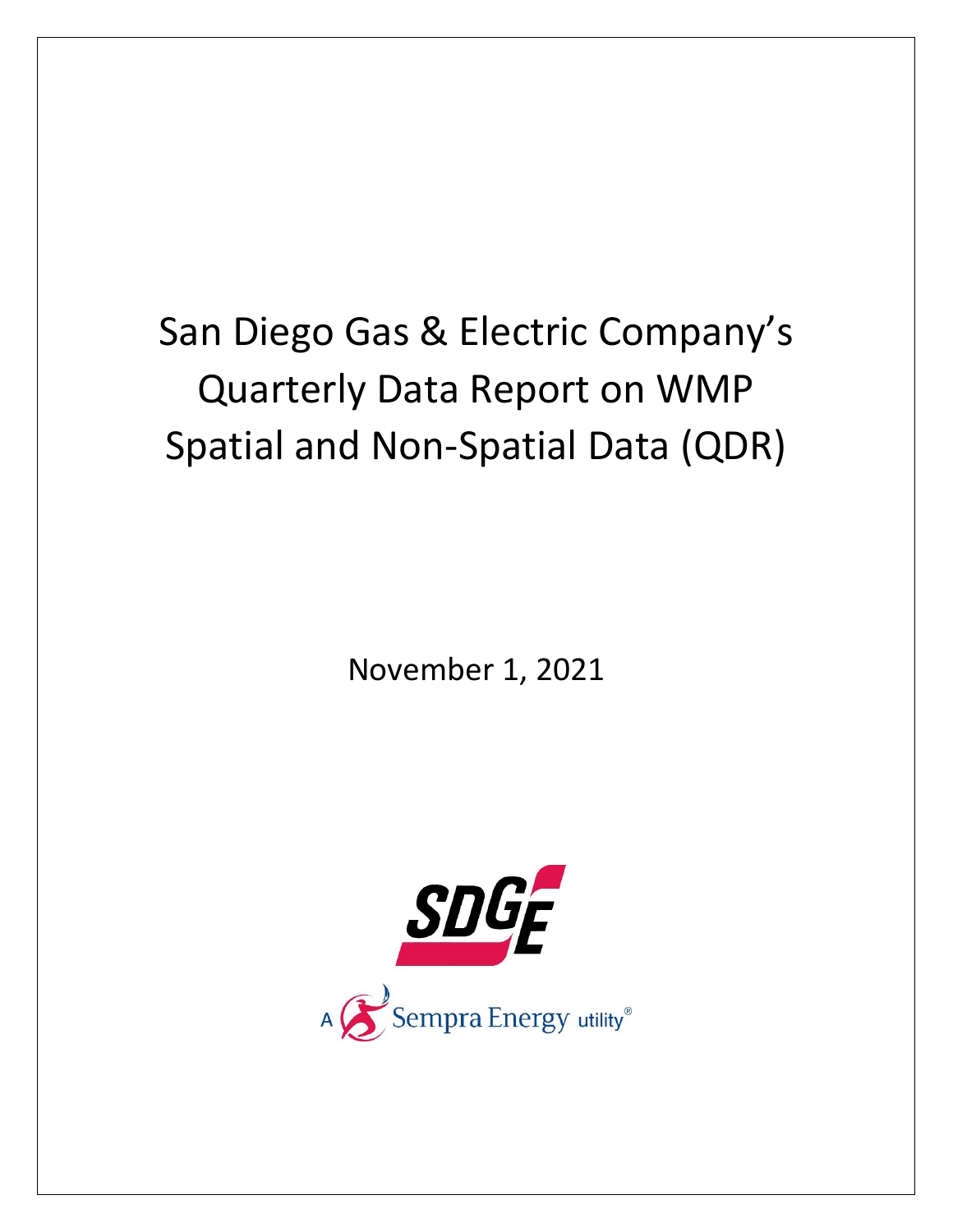## San Diego Gas & Electric Company's Quarterly Data Report on WMP Spatial and Non-Spatial Data (QDR)

November 1, 2021

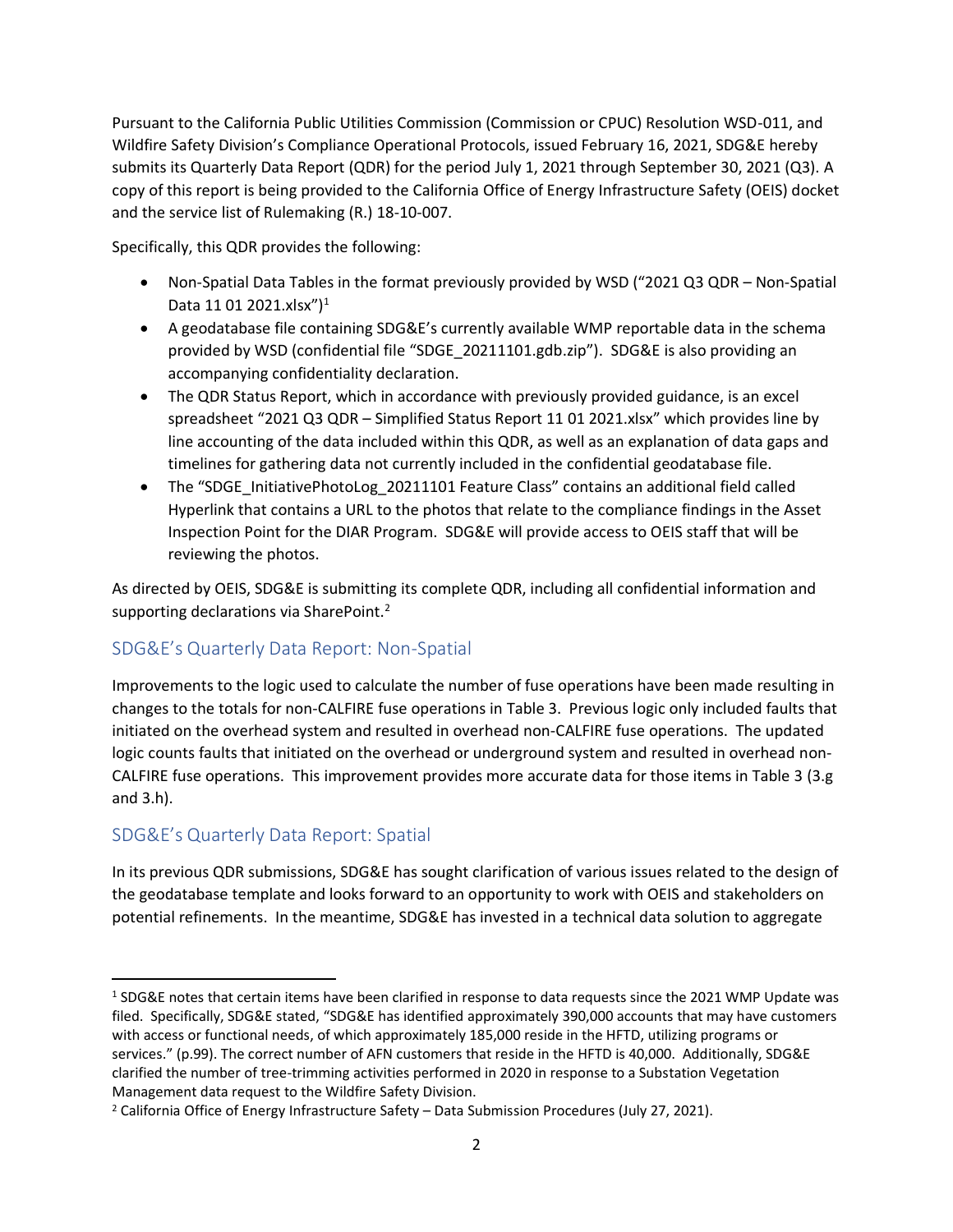Pursuant to the California Public Utilities Commission (Commission or CPUC) Resolution WSD-011, and Wildfire Safety Division's Compliance Operational Protocols, issued February 16, 2021, SDG&E hereby submits its Quarterly Data Report (QDR) for the period July 1, 2021 through September 30, 2021 (Q3). A copy of this report is being provided to the California Office of Energy Infrastructure Safety (OEIS) docket and the service list of Rulemaking (R.) 18-10-007.

Specifically, this QDR provides the following:

- Non-Spatial Data Tables in the format previously provided by WSD ("2021 Q3 QDR Non-Spatial Data 11 01 2021.xlsx")<sup>1</sup>
- A geodatabase file containing SDG&E's currently available WMP reportable data in the schema provided by WSD (confidential file "SDGE\_20211101.gdb.zip"). SDG&E is also providing an accompanying confidentiality declaration.
- The QDR Status Report, which in accordance with previously provided guidance, is an excel spreadsheet "2021 Q3 QDR – Simplified Status Report 11 01 2021.xlsx" which provides line by line accounting of the data included within this QDR, as well as an explanation of data gaps and timelines for gathering data not currently included in the confidential geodatabase file.
- The "SDGE\_InitiativePhotoLog\_20211101 Feature Class" contains an additional field called Hyperlink that contains a URL to the photos that relate to the compliance findings in the Asset Inspection Point for the DIAR Program. SDG&E will provide access to OEIS staff that will be reviewing the photos.

As directed by OEIS, SDG&E is submitting its complete QDR, including all confidential information and supporting declarations via SharePoint.<sup>2</sup>

## SDG&E's Quarterly Data Report: Non-Spatial

Improvements to the logic used to calculate the number of fuse operations have been made resulting in changes to the totals for non-CALFIRE fuse operations in Table 3. Previous logic only included faults that initiated on the overhead system and resulted in overhead non-CALFIRE fuse operations. The updated logic counts faults that initiated on the overhead or underground system and resulted in overhead non-CALFIRE fuse operations. This improvement provides more accurate data for those items in Table 3 (3.g and 3.h).

## SDG&E's Quarterly Data Report: Spatial

In its previous QDR submissions, SDG&E has sought clarification of various issues related to the design of the geodatabase template and looks forward to an opportunity to work with OEIS and stakeholders on potential refinements. In the meantime, SDG&E has invested in a technical data solution to aggregate

<sup>&</sup>lt;sup>1</sup> SDG&E notes that certain items have been clarified in response to data requests since the 2021 WMP Update was filed. Specifically, SDG&E stated, "SDG&E has identified approximately 390,000 accounts that may have customers with access or functional needs, of which approximately 185,000 reside in the HFTD, utilizing programs or services." (p.99). The correct number of AFN customers that reside in the HFTD is 40,000. Additionally, SDG&E clarified the number of tree-trimming activities performed in 2020 in response to a Substation Vegetation Management data request to the Wildfire Safety Division.

<sup>2</sup> California Office of Energy Infrastructure Safety – Data Submission Procedures (July 27, 2021).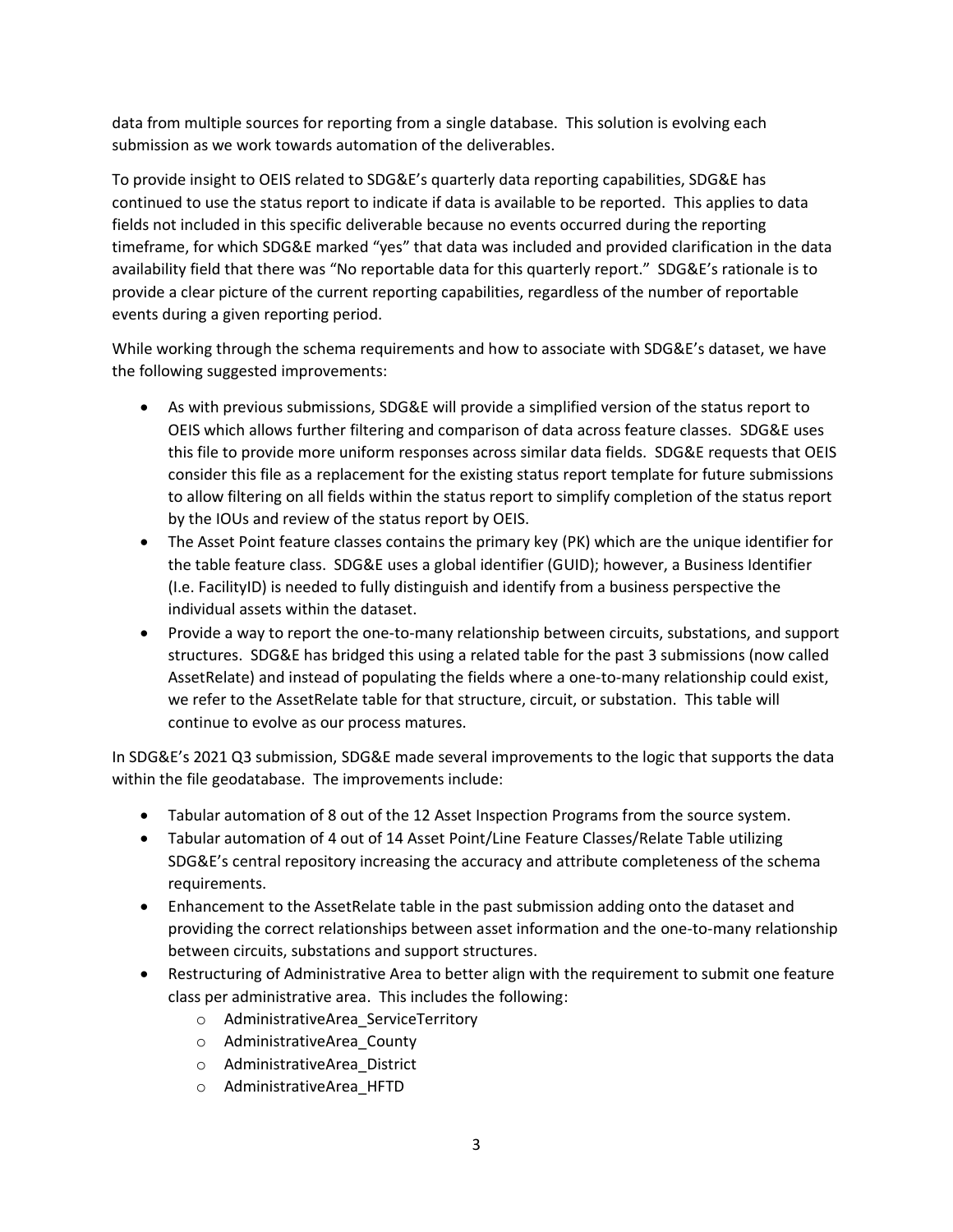data from multiple sources for reporting from a single database. This solution is evolving each submission as we work towards automation of the deliverables.

To provide insight to OEIS related to SDG&E's quarterly data reporting capabilities, SDG&E has continued to use the status report to indicate if data is available to be reported. This applies to data fields not included in this specific deliverable because no events occurred during the reporting timeframe, for which SDG&E marked "yes" that data was included and provided clarification in the data availability field that there was "No reportable data for this quarterly report." SDG&E's rationale is to provide a clear picture of the current reporting capabilities, regardless of the number of reportable events during a given reporting period.

While working through the schema requirements and how to associate with SDG&E's dataset, we have the following suggested improvements:

- As with previous submissions, SDG&E will provide a simplified version of the status report to OEIS which allows further filtering and comparison of data across feature classes. SDG&E uses this file to provide more uniform responses across similar data fields. SDG&E requests that OEIS consider this file as a replacement for the existing status report template for future submissions to allow filtering on all fields within the status report to simplify completion of the status report by the IOUs and review of the status report by OEIS.
- The Asset Point feature classes contains the primary key (PK) which are the unique identifier for the table feature class. SDG&E uses a global identifier (GUID); however, a Business Identifier (I.e. FacilityID) is needed to fully distinguish and identify from a business perspective the individual assets within the dataset.
- Provide a way to report the one-to-many relationship between circuits, substations, and support structures. SDG&E has bridged this using a related table for the past 3 submissions (now called AssetRelate) and instead of populating the fields where a one-to-many relationship could exist, we refer to the AssetRelate table for that structure, circuit, or substation. This table will continue to evolve as our process matures.

In SDG&E's 2021 Q3 submission, SDG&E made several improvements to the logic that supports the data within the file geodatabase. The improvements include:

- Tabular automation of 8 out of the 12 Asset Inspection Programs from the source system.
- Tabular automation of 4 out of 14 Asset Point/Line Feature Classes/Relate Table utilizing SDG&E's central repository increasing the accuracy and attribute completeness of the schema requirements.
- Enhancement to the AssetRelate table in the past submission adding onto the dataset and providing the correct relationships between asset information and the one-to-many relationship between circuits, substations and support structures.
- Restructuring of Administrative Area to better align with the requirement to submit one feature class per administrative area. This includes the following:
	- o AdministrativeArea\_ServiceTerritory
	- o AdministrativeArea\_County
	- o AdministrativeArea\_District
	- o AdministrativeArea\_HFTD